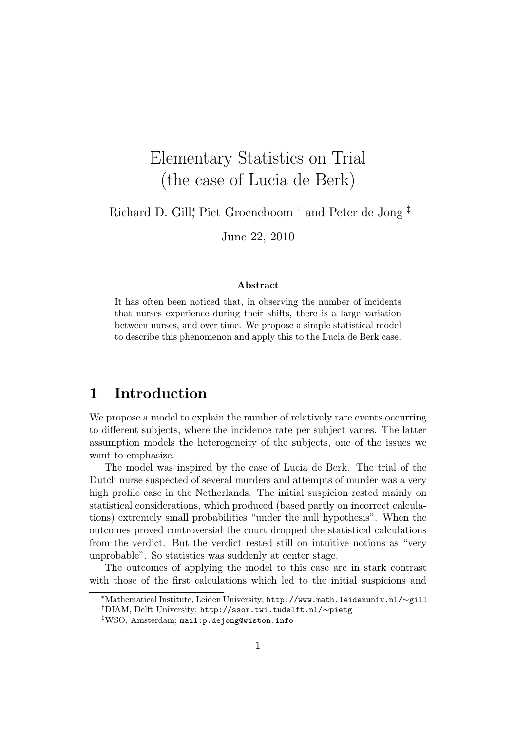# Elementary Statistics on Trial (the case of Lucia de Berk)

Richard D. Gill<sup>\*</sup>, Piet Groeneboom<sup>†</sup> and Peter de Jong<sup>‡</sup>

June 22, 2010

#### Abstract

It has often been noticed that, in observing the number of incidents that nurses experience during their shifts, there is a large variation between nurses, and over time. We propose a simple statistical model to describe this phenomenon and apply this to the Lucia de Berk case.

## 1 Introduction

We propose a model to explain the number of relatively rare events occurring to different subjects, where the incidence rate per subject varies. The latter assumption models the heterogeneity of the subjects, one of the issues we want to emphasize.

The model was inspired by the case of Lucia de Berk. The trial of the Dutch nurse suspected of several murders and attempts of murder was a very high profile case in the Netherlands. The initial suspicion rested mainly on statistical considerations, which produced (based partly on incorrect calculations) extremely small probabilities "under the null hypothesis". When the outcomes proved controversial the court dropped the statistical calculations from the verdict. But the verdict rested still on intuitive notions as "very unprobable". So statistics was suddenly at center stage.

The outcomes of applying the model to this case are in stark contrast with those of the first calculations which led to the initial suspicions and

<sup>∗</sup>Mathematical Institute, Leiden University; http://www.math.leidenuniv.nl/∼gill

<sup>†</sup>DIAM, Delft University; http://ssor.twi.tudelft.nl/∼pietg

<sup>‡</sup>WSO, Amsterdam; mail:p.dejong@wiston.info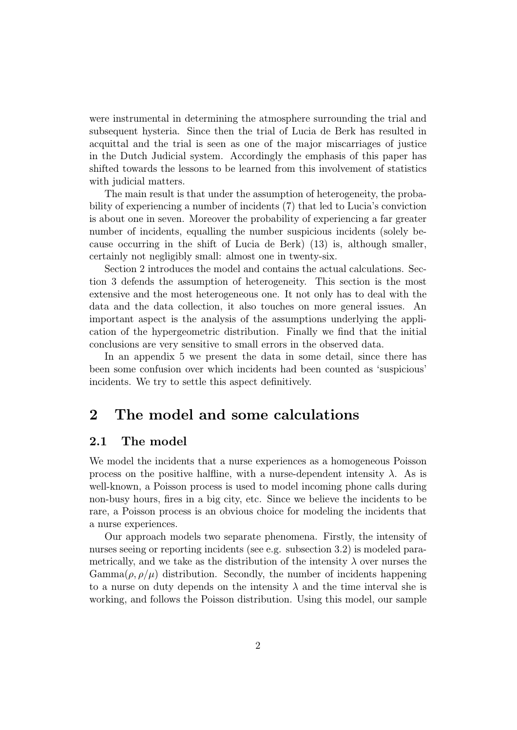were instrumental in determining the atmosphere surrounding the trial and subsequent hysteria. Since then the trial of Lucia de Berk has resulted in acquittal and the trial is seen as one of the major miscarriages of justice in the Dutch Judicial system. Accordingly the emphasis of this paper has shifted towards the lessons to be learned from this involvement of statistics with judicial matters.

The main result is that under the assumption of heterogeneity, the probability of experiencing a number of incidents (7) that led to Lucia's conviction is about one in seven. Moreover the probability of experiencing a far greater number of incidents, equalling the number suspicious incidents (solely because occurring in the shift of Lucia de Berk) (13) is, although smaller, certainly not negligibly small: almost one in twenty-six.

Section 2 introduces the model and contains the actual calculations. Section 3 defends the assumption of heterogeneity. This section is the most extensive and the most heterogeneous one. It not only has to deal with the data and the data collection, it also touches on more general issues. An important aspect is the analysis of the assumptions underlying the application of the hypergeometric distribution. Finally we find that the initial conclusions are very sensitive to small errors in the observed data.

In an appendix 5 we present the data in some detail, since there has been some confusion over which incidents had been counted as 'suspicious' incidents. We try to settle this aspect definitively.

## 2 The model and some calculations

#### 2.1 The model

We model the incidents that a nurse experiences as a homogeneous Poisson process on the positive halfline, with a nurse-dependent intensity  $\lambda$ . As is well-known, a Poisson process is used to model incoming phone calls during non-busy hours, fires in a big city, etc. Since we believe the incidents to be rare, a Poisson process is an obvious choice for modeling the incidents that a nurse experiences.

Our approach models two separate phenomena. Firstly, the intensity of nurses seeing or reporting incidents (see e.g. subsection 3.2) is modeled parametrically, and we take as the distribution of the intensity  $\lambda$  over nurses the  $\text{Gamma}(\rho, \rho/\mu)$  distribution. Secondly, the number of incidents happening to a nurse on duty depends on the intensity  $\lambda$  and the time interval she is working, and follows the Poisson distribution. Using this model, our sample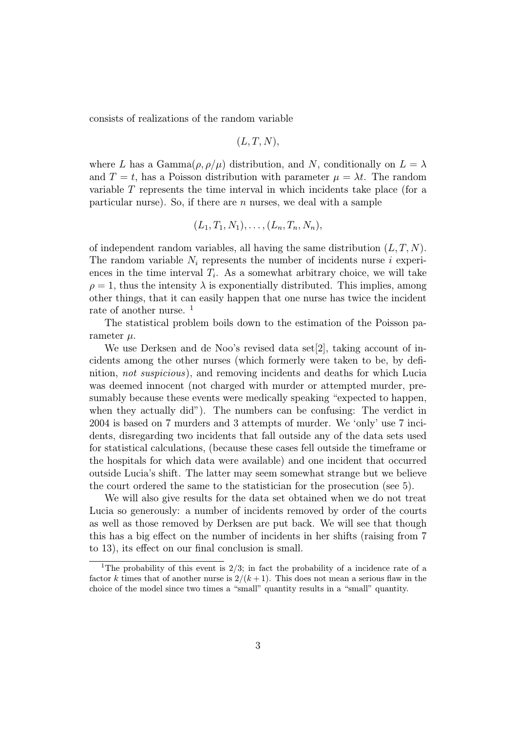consists of realizations of the random variable

$$
(L, T, N),
$$

where L has a Gamma $(\rho, \rho/\mu)$  distribution, and N, conditionally on  $L = \lambda$ and  $T = t$ , has a Poisson distribution with parameter  $\mu = \lambda t$ . The random variable T represents the time interval in which incidents take place (for a particular nurse). So, if there are  $n$  nurses, we deal with a sample

$$
(L_1, T_1, N_1), \ldots, (L_n, T_n, N_n),
$$

of independent random variables, all having the same distribution  $(L, T, N)$ . The random variable  $N_i$  represents the number of incidents nurse i experiences in the time interval  $T_i$ . As a somewhat arbitrary choice, we will take  $\rho = 1$ , thus the intensity  $\lambda$  is exponentially distributed. This implies, among other things, that it can easily happen that one nurse has twice the incident rate of another nurse. <sup>1</sup>

The statistical problem boils down to the estimation of the Poisson parameter  $\mu$ .

We use Derksen and de Noo's revised data set [2], taking account of incidents among the other nurses (which formerly were taken to be, by definition, not suspicious), and removing incidents and deaths for which Lucia was deemed innocent (not charged with murder or attempted murder, presumably because these events were medically speaking "expected to happen, when they actually did"). The numbers can be confusing: The verdict in 2004 is based on 7 murders and 3 attempts of murder. We 'only' use 7 incidents, disregarding two incidents that fall outside any of the data sets used for statistical calculations, (because these cases fell outside the timeframe or the hospitals for which data were available) and one incident that occurred outside Lucia's shift. The latter may seem somewhat strange but we believe the court ordered the same to the statistician for the prosecution (see 5).

We will also give results for the data set obtained when we do not treat Lucia so generously: a number of incidents removed by order of the courts as well as those removed by Derksen are put back. We will see that though this has a big effect on the number of incidents in her shifts (raising from 7 to 13), its effect on our final conclusion is small.

<sup>&</sup>lt;sup>1</sup>The probability of this event is  $2/3$ ; in fact the probability of a incidence rate of a factor k times that of another nurse is  $2/(k+1)$ . This does not mean a serious flaw in the choice of the model since two times a "small" quantity results in a "small" quantity.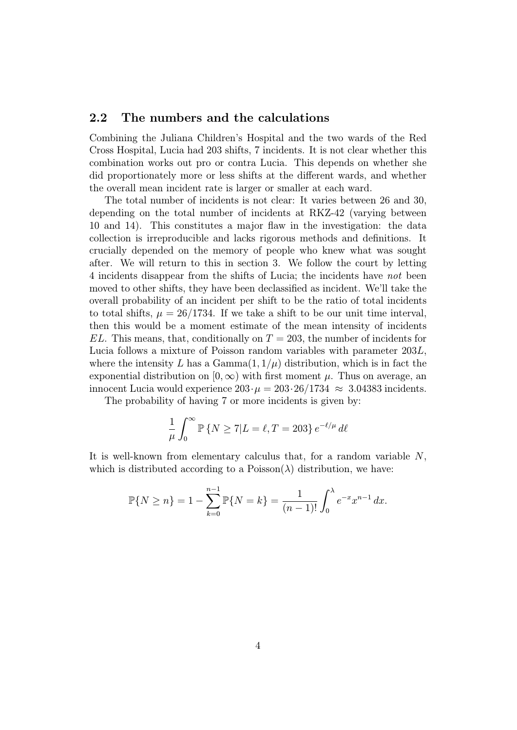#### 2.2 The numbers and the calculations

Combining the Juliana Children's Hospital and the two wards of the Red Cross Hospital, Lucia had 203 shifts, 7 incidents. It is not clear whether this combination works out pro or contra Lucia. This depends on whether she did proportionately more or less shifts at the different wards, and whether the overall mean incident rate is larger or smaller at each ward.

The total number of incidents is not clear: It varies between 26 and 30, depending on the total number of incidents at RKZ-42 (varying between 10 and 14). This constitutes a major flaw in the investigation: the data collection is irreproducible and lacks rigorous methods and definitions. It crucially depended on the memory of people who knew what was sought after. We will return to this in section 3. We follow the court by letting 4 incidents disappear from the shifts of Lucia; the incidents have not been moved to other shifts, they have been declassified as incident. We'll take the overall probability of an incident per shift to be the ratio of total incidents to total shifts,  $\mu = 26/1734$ . If we take a shift to be our unit time interval, then this would be a moment estimate of the mean intensity of incidents  $EL$ . This means, that, conditionally on  $T = 203$ , the number of incidents for Lucia follows a mixture of Poisson random variables with parameter 203L, where the intensity L has a Gamma $(1, 1/\mu)$  distribution, which is in fact the exponential distribution on  $[0, \infty)$  with first moment  $\mu$ . Thus on average, an innocent Lucia would experience  $203 \cdot \mu = 203 \cdot 26/1734 \approx 3.04383$  incidents.

The probability of having 7 or more incidents is given by:

$$
\frac{1}{\mu} \int_0^\infty \mathbb{P}\left\{N \ge 7 | L = \ell, T = 203\right\} e^{-\ell/\mu} d\ell
$$

It is well-known from elementary calculus that, for a random variable  $N$ , which is distributed according to a Poisson( $\lambda$ ) distribution, we have:

$$
\mathbb{P}{N \ge n} = 1 - \sum_{k=0}^{n-1} \mathbb{P}{N = k} = \frac{1}{(n-1)!} \int_0^{\lambda} e^{-x} x^{n-1} dx.
$$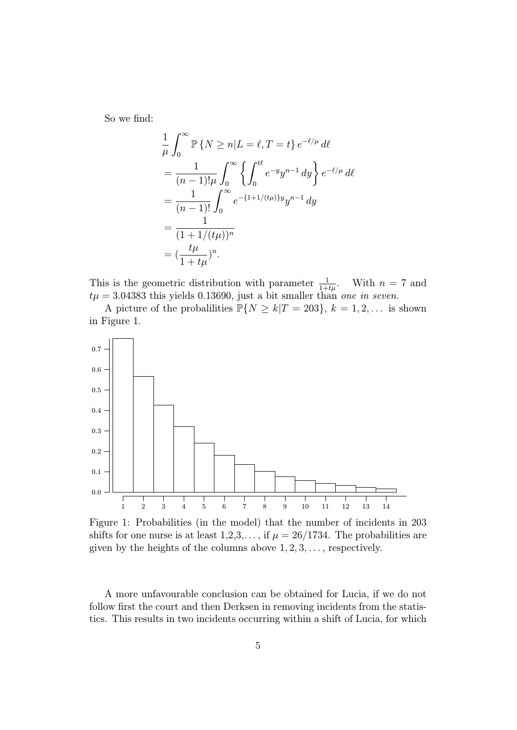So we find:

$$
\frac{1}{\mu} \int_0^\infty \mathbb{P} \{ N \ge n | L = \ell, T = t \} e^{-\ell/\mu} d\ell
$$
  
= 
$$
\frac{1}{(n-1)! \mu} \int_0^\infty \left\{ \int_0^{t\ell} e^{-y} y^{n-1} dy \right\} e^{-\ell/\mu} d\ell
$$
  
= 
$$
\frac{1}{(n-1)!} \int_0^\infty e^{-\{1+1/(t\mu)\}y} y^{n-1} dy
$$
  
= 
$$
\frac{1}{(1+1/(t\mu))^n}
$$
  
= 
$$
(\frac{t\mu}{1+t\mu})^n.
$$

This is the geometric distribution with parameter  $\frac{1}{1+t\mu}$ . With  $n = 7$  and  $t\mu = 3.04383$  this yields 0.13690, just a bit smaller than one in seven.

A picture of the probalilities  $\mathbb{P}{N \ge k | T = 203}, k = 1, 2, ...$  is shown in Figure 1.



Figure 1: Probabilities (in the model) that the number of incidents in 203 shifts for one nurse is at least  $1,2,3,...$ , if  $\mu = 26/1734$ . The probabilities are given by the heights of the columns above  $1, 2, 3, \ldots$ , respectively.

A more unfavourable conclusion can be obtained for Lucia, if we do not follow first the court and then Derksen in removing incidents from the statistics. This results in two incidents occurring within a shift of Lucia, for which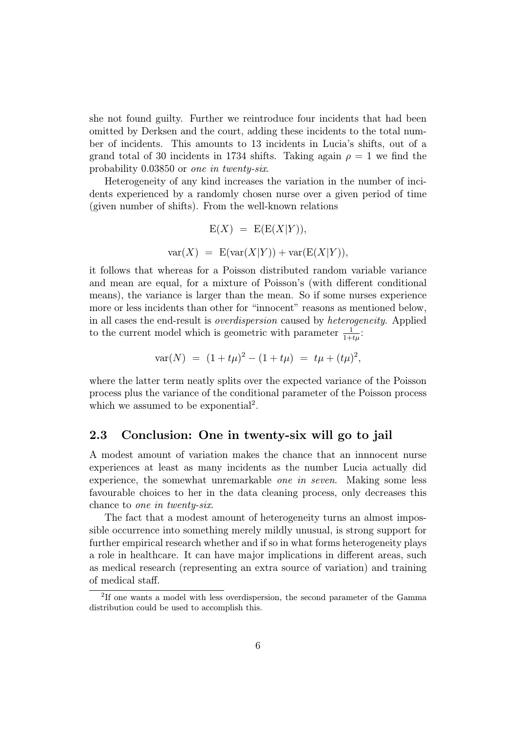she not found guilty. Further we reintroduce four incidents that had been omitted by Derksen and the court, adding these incidents to the total number of incidents. This amounts to 13 incidents in Lucia's shifts, out of a grand total of 30 incidents in 1734 shifts. Taking again  $\rho = 1$  we find the probability 0.03850 or one in twenty-six.

Heterogeneity of any kind increases the variation in the number of incidents experienced by a randomly chosen nurse over a given period of time (given number of shifts). From the well-known relations

$$
E(X) = E(E(X|Y)),
$$
  
 
$$
var(X) = E(var(X|Y)) + var(E(X|Y)),
$$

it follows that whereas for a Poisson distributed random variable variance and mean are equal, for a mixture of Poisson's (with different conditional means), the variance is larger than the mean. So if some nurses experience more or less incidents than other for "innocent" reasons as mentioned below, in all cases the end-result is overdispersion caused by heterogeneity. Applied to the current model which is geometric with parameter  $\frac{1}{1+t\mu}$ :

$$
var(N) = (1 + t\mu)^2 - (1 + t\mu) = t\mu + (t\mu)^2,
$$

where the latter term neatly splits over the expected variance of the Poisson process plus the variance of the conditional parameter of the Poisson process which we assumed to be exponential<sup>2</sup>.

#### 2.3 Conclusion: One in twenty-six will go to jail

A modest amount of variation makes the chance that an innnocent nurse experiences at least as many incidents as the number Lucia actually did experience, the somewhat unremarkable one in seven. Making some less favourable choices to her in the data cleaning process, only decreases this chance to one in twenty-six.

The fact that a modest amount of heterogeneity turns an almost impossible occurrence into something merely mildly unusual, is strong support for further empirical research whether and if so in what forms heterogeneity plays a role in healthcare. It can have major implications in different areas, such as medical research (representing an extra source of variation) and training of medical staff.

<sup>&</sup>lt;sup>2</sup>If one wants a model with less overdispersion, the second parameter of the Gamma distribution could be used to accomplish this.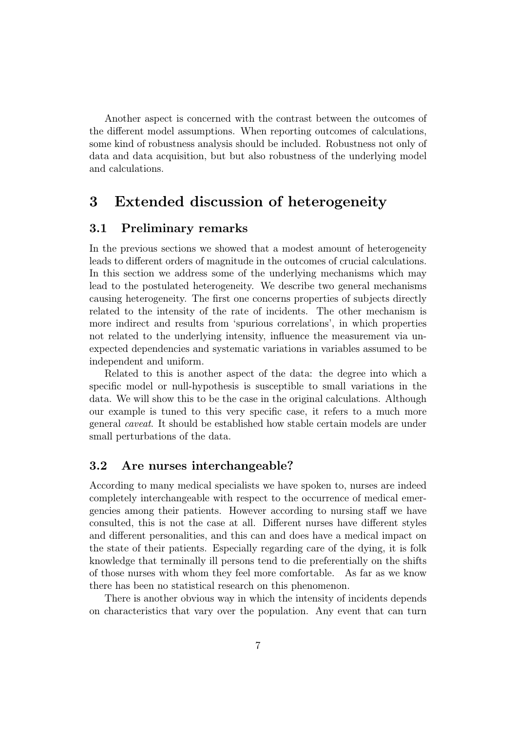Another aspect is concerned with the contrast between the outcomes of the different model assumptions. When reporting outcomes of calculations, some kind of robustness analysis should be included. Robustness not only of data and data acquisition, but but also robustness of the underlying model and calculations.

## 3 Extended discussion of heterogeneity

#### 3.1 Preliminary remarks

In the previous sections we showed that a modest amount of heterogeneity leads to different orders of magnitude in the outcomes of crucial calculations. In this section we address some of the underlying mechanisms which may lead to the postulated heterogeneity. We describe two general mechanisms causing heterogeneity. The first one concerns properties of subjects directly related to the intensity of the rate of incidents. The other mechanism is more indirect and results from 'spurious correlations', in which properties not related to the underlying intensity, influence the measurement via unexpected dependencies and systematic variations in variables assumed to be independent and uniform.

Related to this is another aspect of the data: the degree into which a specific model or null-hypothesis is susceptible to small variations in the data. We will show this to be the case in the original calculations. Although our example is tuned to this very specific case, it refers to a much more general caveat. It should be established how stable certain models are under small perturbations of the data.

#### 3.2 Are nurses interchangeable?

According to many medical specialists we have spoken to, nurses are indeed completely interchangeable with respect to the occurrence of medical emergencies among their patients. However according to nursing staff we have consulted, this is not the case at all. Different nurses have different styles and different personalities, and this can and does have a medical impact on the state of their patients. Especially regarding care of the dying, it is folk knowledge that terminally ill persons tend to die preferentially on the shifts of those nurses with whom they feel more comfortable. As far as we know there has been no statistical research on this phenomenon.

There is another obvious way in which the intensity of incidents depends on characteristics that vary over the population. Any event that can turn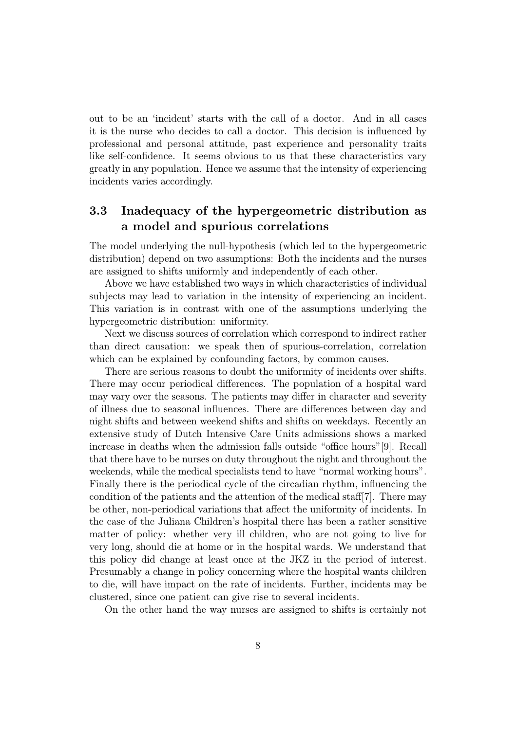out to be an 'incident' starts with the call of a doctor. And in all cases it is the nurse who decides to call a doctor. This decision is influenced by professional and personal attitude, past experience and personality traits like self-confidence. It seems obvious to us that these characteristics vary greatly in any population. Hence we assume that the intensity of experiencing incidents varies accordingly.

## 3.3 Inadequacy of the hypergeometric distribution as a model and spurious correlations

The model underlying the null-hypothesis (which led to the hypergeometric distribution) depend on two assumptions: Both the incidents and the nurses are assigned to shifts uniformly and independently of each other.

Above we have established two ways in which characteristics of individual subjects may lead to variation in the intensity of experiencing an incident. This variation is in contrast with one of the assumptions underlying the hypergeometric distribution: uniformity.

Next we discuss sources of correlation which correspond to indirect rather than direct causation: we speak then of spurious-correlation, correlation which can be explained by confounding factors, by common causes.

There are serious reasons to doubt the uniformity of incidents over shifts. There may occur periodical differences. The population of a hospital ward may vary over the seasons. The patients may differ in character and severity of illness due to seasonal influences. There are differences between day and night shifts and between weekend shifts and shifts on weekdays. Recently an extensive study of Dutch Intensive Care Units admissions shows a marked increase in deaths when the admission falls outside "office hours"[9]. Recall that there have to be nurses on duty throughout the night and throughout the weekends, while the medical specialists tend to have "normal working hours". Finally there is the periodical cycle of the circadian rhythm, influencing the condition of the patients and the attention of the medical staff[7]. There may be other, non-periodical variations that affect the uniformity of incidents. In the case of the Juliana Children's hospital there has been a rather sensitive matter of policy: whether very ill children, who are not going to live for very long, should die at home or in the hospital wards. We understand that this policy did change at least once at the JKZ in the period of interest. Presumably a change in policy concerning where the hospital wants children to die, will have impact on the rate of incidents. Further, incidents may be clustered, since one patient can give rise to several incidents.

On the other hand the way nurses are assigned to shifts is certainly not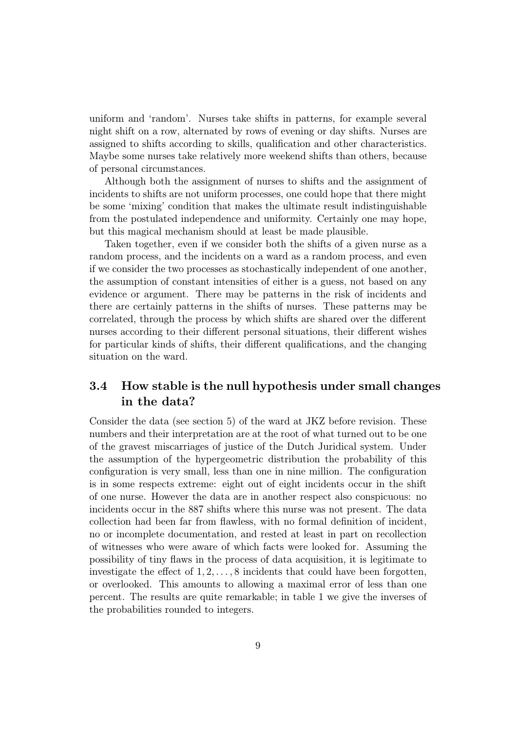uniform and 'random'. Nurses take shifts in patterns, for example several night shift on a row, alternated by rows of evening or day shifts. Nurses are assigned to shifts according to skills, qualification and other characteristics. Maybe some nurses take relatively more weekend shifts than others, because of personal circumstances.

Although both the assignment of nurses to shifts and the assignment of incidents to shifts are not uniform processes, one could hope that there might be some 'mixing' condition that makes the ultimate result indistinguishable from the postulated independence and uniformity. Certainly one may hope, but this magical mechanism should at least be made plausible.

Taken together, even if we consider both the shifts of a given nurse as a random process, and the incidents on a ward as a random process, and even if we consider the two processes as stochastically independent of one another, the assumption of constant intensities of either is a guess, not based on any evidence or argument. There may be patterns in the risk of incidents and there are certainly patterns in the shifts of nurses. These patterns may be correlated, through the process by which shifts are shared over the different nurses according to their different personal situations, their different wishes for particular kinds of shifts, their different qualifications, and the changing situation on the ward.

## 3.4 How stable is the null hypothesis under small changes in the data?

Consider the data (see section 5) of the ward at JKZ before revision. These numbers and their interpretation are at the root of what turned out to be one of the gravest miscarriages of justice of the Dutch Juridical system. Under the assumption of the hypergeometric distribution the probability of this configuration is very small, less than one in nine million. The configuration is in some respects extreme: eight out of eight incidents occur in the shift of one nurse. However the data are in another respect also conspicuous: no incidents occur in the 887 shifts where this nurse was not present. The data collection had been far from flawless, with no formal definition of incident, no or incomplete documentation, and rested at least in part on recollection of witnesses who were aware of which facts were looked for. Assuming the possibility of tiny flaws in the process of data acquisition, it is legitimate to investigate the effect of  $1, 2, \ldots, 8$  incidents that could have been forgotten, or overlooked. This amounts to allowing a maximal error of less than one percent. The results are quite remarkable; in table 1 we give the inverses of the probabilities rounded to integers.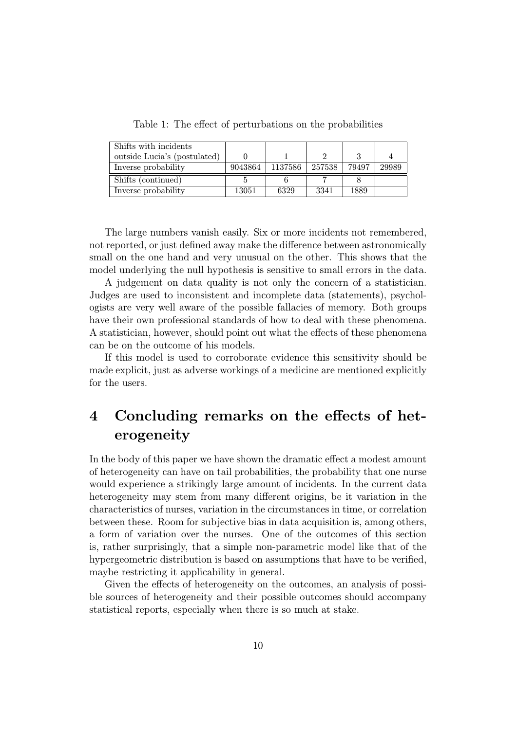Table 1: The effect of perturbations on the probabilities

| Shifts with incidents        |       |                     |        |       |       |
|------------------------------|-------|---------------------|--------|-------|-------|
| outside Lucia's (postulated) |       |                     |        |       |       |
| Inverse probability          |       | $9043864$   1137586 | 257538 | 79497 | 29989 |
| Shifts (continued)           |       |                     |        |       |       |
| Inverse probability          | 13051 | 6329                | 3341   | 1889  |       |

The large numbers vanish easily. Six or more incidents not remembered, not reported, or just defined away make the difference between astronomically small on the one hand and very unusual on the other. This shows that the model underlying the null hypothesis is sensitive to small errors in the data.

A judgement on data quality is not only the concern of a statistician. Judges are used to inconsistent and incomplete data (statements), psychologists are very well aware of the possible fallacies of memory. Both groups have their own professional standards of how to deal with these phenomena. A statistician, however, should point out what the effects of these phenomena can be on the outcome of his models.

If this model is used to corroborate evidence this sensitivity should be made explicit, just as adverse workings of a medicine are mentioned explicitly for the users.

## 4 Concluding remarks on the effects of heterogeneity

In the body of this paper we have shown the dramatic effect a modest amount of heterogeneity can have on tail probabilities, the probability that one nurse would experience a strikingly large amount of incidents. In the current data heterogeneity may stem from many different origins, be it variation in the characteristics of nurses, variation in the circumstances in time, or correlation between these. Room for subjective bias in data acquisition is, among others, a form of variation over the nurses. One of the outcomes of this section is, rather surprisingly, that a simple non-parametric model like that of the hypergeometric distribution is based on assumptions that have to be verified, maybe restricting it applicability in general.

Given the effects of heterogeneity on the outcomes, an analysis of possible sources of heterogeneity and their possible outcomes should accompany statistical reports, especially when there is so much at stake.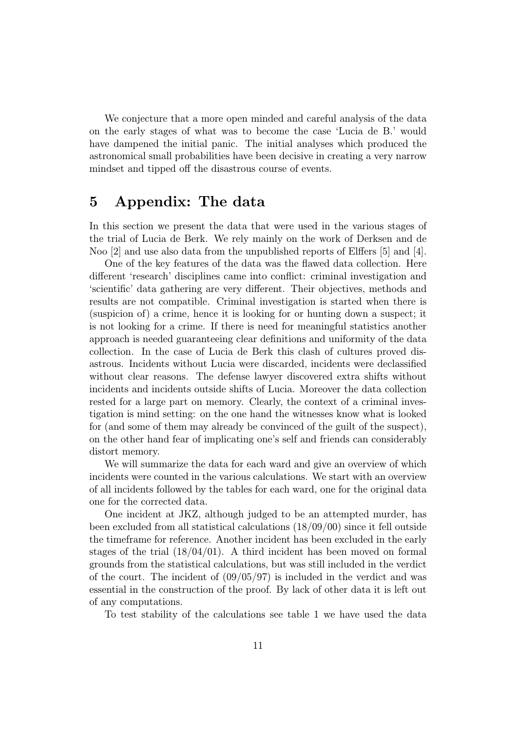We conjecture that a more open minded and careful analysis of the data on the early stages of what was to become the case 'Lucia de B.' would have dampened the initial panic. The initial analyses which produced the astronomical small probabilities have been decisive in creating a very narrow mindset and tipped off the disastrous course of events.

## 5 Appendix: The data

In this section we present the data that were used in the various stages of the trial of Lucia de Berk. We rely mainly on the work of Derksen and de Noo [2] and use also data from the unpublished reports of Elffers [5] and [4].

One of the key features of the data was the flawed data collection. Here different 'research' disciplines came into conflict: criminal investigation and 'scientific' data gathering are very different. Their objectives, methods and results are not compatible. Criminal investigation is started when there is (suspicion of) a crime, hence it is looking for or hunting down a suspect; it is not looking for a crime. If there is need for meaningful statistics another approach is needed guaranteeing clear definitions and uniformity of the data collection. In the case of Lucia de Berk this clash of cultures proved disastrous. Incidents without Lucia were discarded, incidents were declassified without clear reasons. The defense lawyer discovered extra shifts without incidents and incidents outside shifts of Lucia. Moreover the data collection rested for a large part on memory. Clearly, the context of a criminal investigation is mind setting: on the one hand the witnesses know what is looked for (and some of them may already be convinced of the guilt of the suspect), on the other hand fear of implicating one's self and friends can considerably distort memory.

We will summarize the data for each ward and give an overview of which incidents were counted in the various calculations. We start with an overview of all incidents followed by the tables for each ward, one for the original data one for the corrected data.

One incident at JKZ, although judged to be an attempted murder, has been excluded from all statistical calculations (18/09/00) since it fell outside the timeframe for reference. Another incident has been excluded in the early stages of the trial  $(18/04/01)$ . A third incident has been moved on formal grounds from the statistical calculations, but was still included in the verdict of the court. The incident of  $(09/05/97)$  is included in the verdict and was essential in the construction of the proof. By lack of other data it is left out of any computations.

To test stability of the calculations see table 1 we have used the data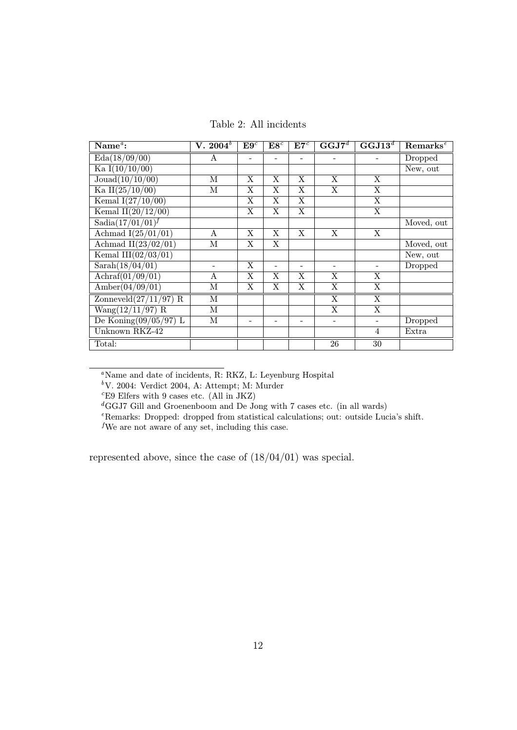Table 2: All incidents

| Name $\alpha$ :                     | $\overline{\mathbf{V}}$ . 2004 $^b$ | E9 <sup>c</sup> | ${\bf E8}^c$             | $E7^c$            | $\overline{\mathbf{G}\mathbf{G}\mathbf{J7}^{d}}$ | $\overline{\mathbf{GGJ13}^{d}}$ | $\mathrm{Remarks}^e$ |
|-------------------------------------|-------------------------------------|-----------------|--------------------------|-------------------|--------------------------------------------------|---------------------------------|----------------------|
| Eda(18/09/00)                       | A                                   |                 |                          |                   | $\overline{\phantom{0}}$                         |                                 | Dropped              |
| Ka $I(10/10/00)$                    |                                     |                 |                          |                   |                                                  |                                 | New, out             |
| Jouad(10/10/00)                     | М                                   | X               | X                        | X                 | X                                                | X                               |                      |
| Ka II $(25/10/00)$                  | М                                   | X               | X                        | X                 | X                                                | X                               |                      |
| Kemal $I(27/10/00)$                 |                                     | X               | X                        | X                 |                                                  | X                               |                      |
| Kemal II $(20/12/00)$               |                                     | X               | X                        | X                 |                                                  | X                               |                      |
| $Sadia(17/01/01)^f$                 |                                     |                 |                          |                   |                                                  |                                 | Moved, out           |
| Achmad $I(25/01/01)$                | A                                   | X               | X                        | X                 | X                                                | X                               |                      |
| Achmad II $(23/02/01)$              | М                                   | X               | X                        |                   |                                                  |                                 | Moved, out           |
| Kemal III $(02/03/01)$              |                                     |                 |                          |                   |                                                  |                                 | New, out             |
| Sarah(18/04/01)                     |                                     | X               | $\overline{\phantom{a}}$ | $\qquad \qquad =$ | $\overline{\phantom{a}}$                         | $\blacksquare$                  | Dropped              |
| Achraf(01/09/01)                    | A                                   | X               | X                        | X                 | X                                                | X                               |                      |
| $\overline{\text{Amber}(04/09/01)}$ | М                                   | X               | X                        | X                 | X                                                | X                               |                      |
| Zonneveld $(27/11/97)$ R            | М                                   |                 |                          |                   | $\overline{\mathrm{X}}$                          | X                               |                      |
| $Wang(12/11/97)$ R                  | М                                   |                 |                          |                   | X                                                | X                               |                      |
| De Koning $(09/05/97)$ L            | М                                   |                 |                          |                   | $\overline{\phantom{a}}$                         |                                 | Dropped              |
| Unknown RKZ-42                      |                                     |                 |                          |                   |                                                  | $\overline{4}$                  | Extra                |
| Total:                              |                                     |                 |                          |                   | 26                                               | 30                              |                      |

<sup>a</sup>Name and date of incidents, R: RKZ, L: Leyenburg Hospital

 $b$ V. 2004: Verdict 2004, A: Attempt; M: Murder

 $c$ E9 Elfers with 9 cases etc. (All in JKZ)

 ${}^d$ GGJ7 Gill and Groenenboom and De Jong with 7 cases etc. (in all wards)

<sup>e</sup>Remarks: Dropped: dropped from statistical calculations; out: outside Lucia's shift.

<sup>f</sup>We are not aware of any set, including this case.

represented above, since the case of (18/04/01) was special.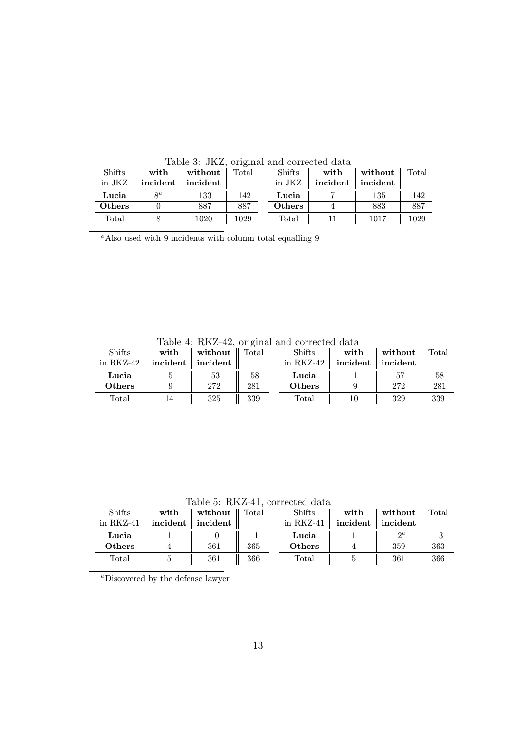| <b>Shifts</b><br>in JKZ | with<br>incident | without $\parallel$ Total<br>incident |      | Shifts<br>in JKZ | Awold of James James was consumed awound<br>$\quad$ with<br>incident | without $\parallel$ Total<br>incident |      |
|-------------------------|------------------|---------------------------------------|------|------------------|----------------------------------------------------------------------|---------------------------------------|------|
| Lucia                   | $\mathbf{a}$     | 133                                   | 142  | Lucia            |                                                                      | 135                                   | 142  |
| <b>Others</b>           |                  | 887                                   | 887  | <b>Others</b>    |                                                                      | 883                                   | 887  |
| Total                   |                  | 1020                                  | 1029 | Total            |                                                                      | 1017                                  | 1029 |

Table 3: JKZ, original and corrected data

<sup>a</sup>Also used with 9 incidents with column total equalling 9

Table 4: RKZ-42, original and corrected data

| <b>Shifts</b> | with     | without  | Total | <b>Shifts</b> | with     | without  | Total |
|---------------|----------|----------|-------|---------------|----------|----------|-------|
| in $RKZ-42$   | incident | incident |       | in $RKZ-42$   | incident | incident |       |
| Lucia         |          | 53       | 58    | Lucia         |          |          | 58    |
| <b>Others</b> |          | 272      | 281   | <b>Others</b> |          | 272      | 281   |
| Total         |          | 325      | 339   | $\rm Total$   |          | 329      | 339   |

Table 5: RKZ-41, corrected data

| <b>Shifts</b><br>in $RKZ-41$ | with<br>incident | without<br>incident | Total | <b>Shifts</b><br>in $RKZ-41$ | with<br>incident | without<br>incident | Total |
|------------------------------|------------------|---------------------|-------|------------------------------|------------------|---------------------|-------|
| Lucia                        |                  |                     |       | Lucia                        |                  | $\Omega$            |       |
| <b>Others</b>                |                  | 361                 | 365   | <b>Others</b>                |                  | 359                 | 363   |
| Total                        |                  | 361                 | 366   | $\text{Total}$               |                  | 361                 | 366   |

<sup>a</sup>Discovered by the defense lawyer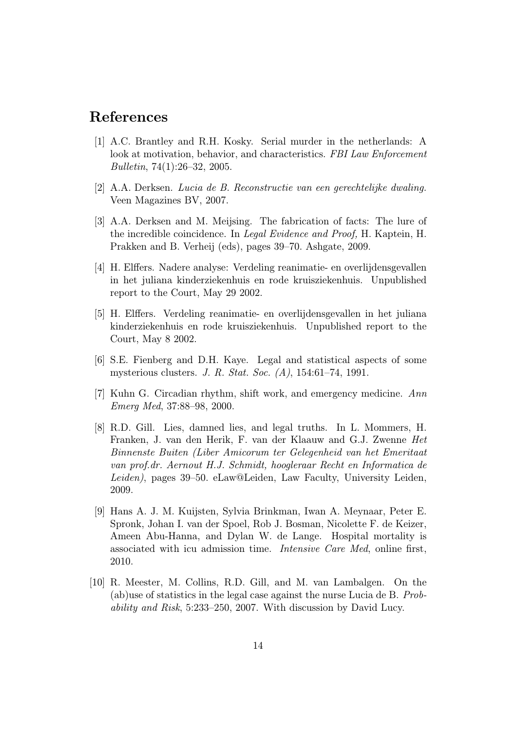## References

- [1] A.C. Brantley and R.H. Kosky. Serial murder in the netherlands: A look at motivation, behavior, and characteristics. FBI Law Enforcement Bulletin, 74(1):26–32, 2005.
- [2] A.A. Derksen. Lucia de B. Reconstructie van een gerechtelijke dwaling. Veen Magazines BV, 2007.
- [3] A.A. Derksen and M. Meijsing. The fabrication of facts: The lure of the incredible coincidence. In Legal Evidence and Proof, H. Kaptein, H. Prakken and B. Verheij (eds), pages 39–70. Ashgate, 2009.
- [4] H. Elffers. Nadere analyse: Verdeling reanimatie- en overlijdensgevallen in het juliana kinderziekenhuis en rode kruisziekenhuis. Unpublished report to the Court, May 29 2002.
- [5] H. Elffers. Verdeling reanimatie- en overlijdensgevallen in het juliana kinderziekenhuis en rode kruisziekenhuis. Unpublished report to the Court, May 8 2002.
- [6] S.E. Fienberg and D.H. Kaye. Legal and statistical aspects of some mysterious clusters. J. R. Stat. Soc. (A), 154:61–74, 1991.
- [7] Kuhn G. Circadian rhythm, shift work, and emergency medicine. Ann Emerg Med, 37:88–98, 2000.
- [8] R.D. Gill. Lies, damned lies, and legal truths. In L. Mommers, H. Franken, J. van den Herik, F. van der Klaauw and G.J. Zwenne Het Binnenste Buiten (Liber Amicorum ter Gelegenheid van het Emeritaat van prof.dr. Aernout H.J. Schmidt, hoogleraar Recht en Informatica de Leiden), pages 39–50. eLaw@Leiden, Law Faculty, University Leiden, 2009.
- [9] Hans A. J. M. Kuijsten, Sylvia Brinkman, Iwan A. Meynaar, Peter E. Spronk, Johan I. van der Spoel, Rob J. Bosman, Nicolette F. de Keizer, Ameen Abu-Hanna, and Dylan W. de Lange. Hospital mortality is associated with icu admission time. Intensive Care Med, online first, 2010.
- [10] R. Meester, M. Collins, R.D. Gill, and M. van Lambalgen. On the (ab)use of statistics in the legal case against the nurse Lucia de B. Probability and Risk, 5:233–250, 2007. With discussion by David Lucy.